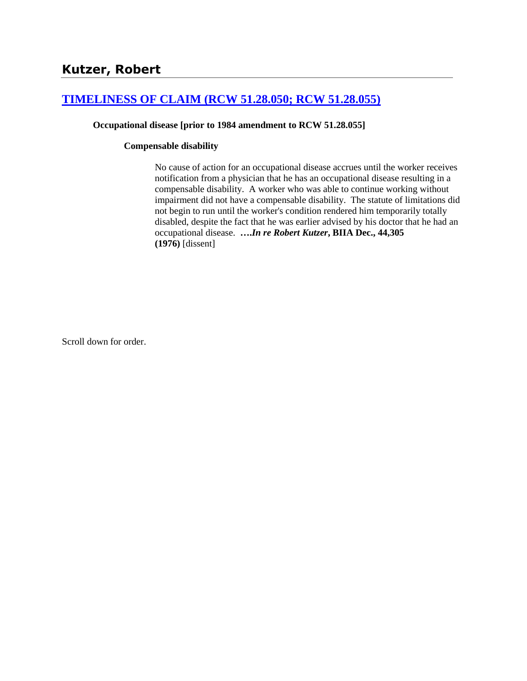# **[TIMELINESS OF CLAIM \(RCW 51.28.050; RCW 51.28.055\)](http://www.biia.wa.gov/SDSubjectIndex.html#TIMELINESS_OF_CLAIM)**

#### **Occupational disease [prior to 1984 amendment to RCW 51.28.055]**

#### **Compensable disability**

No cause of action for an occupational disease accrues until the worker receives notification from a physician that he has an occupational disease resulting in a compensable disability. A worker who was able to continue working without impairment did not have a compensable disability. The statute of limitations did not begin to run until the worker's condition rendered him temporarily totally disabled, despite the fact that he was earlier advised by his doctor that he had an occupational disease. **….***In re Robert Kutzer***, BIIA Dec., 44,305 (1976)** [dissent]

Scroll down for order.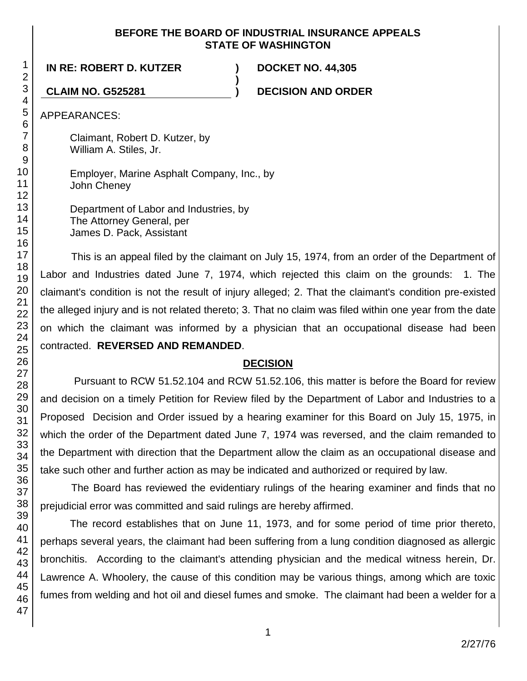## **BEFORE THE BOARD OF INDUSTRIAL INSURANCE APPEALS STATE OF WASHINGTON**

**)**

**IN RE: ROBERT D. KUTZER ) DOCKET NO. 44,305**

**CLAIM NO. G525281 ) DECISION AND ORDER**

APPEARANCES:

Claimant, Robert D. Kutzer, by William A. Stiles, Jr.

Employer, Marine Asphalt Company, Inc., by John Cheney

Department of Labor and Industries, by The Attorney General, per James D. Pack, Assistant

This is an appeal filed by the claimant on July 15, 1974, from an order of the Department of Labor and Industries dated June 7, 1974, which rejected this claim on the grounds: 1. The claimant's condition is not the result of injury alleged; 2. That the claimant's condition pre-existed the alleged injury and is not related thereto; 3. That no claim was filed within one year from the date on which the claimant was informed by a physician that an occupational disease had been contracted. **REVERSED AND REMANDED**.

# **DECISION**

Pursuant to RCW 51.52.104 and RCW 51.52.106, this matter is before the Board for review and decision on a timely Petition for Review filed by the Department of Labor and Industries to a Proposed Decision and Order issued by a hearing examiner for this Board on July 15, 1975, in which the order of the Department dated June 7, 1974 was reversed, and the claim remanded to the Department with direction that the Department allow the claim as an occupational disease and take such other and further action as may be indicated and authorized or required by law.

The Board has reviewed the evidentiary rulings of the hearing examiner and finds that no prejudicial error was committed and said rulings are hereby affirmed.

The record establishes that on June 11, 1973, and for some period of time prior thereto, perhaps several years, the claimant had been suffering from a lung condition diagnosed as allergic bronchitis. According to the claimant's attending physician and the medical witness herein, Dr. Lawrence A. Whoolery, the cause of this condition may be various things, among which are toxic fumes from welding and hot oil and diesel fumes and smoke. The claimant had been a welder for a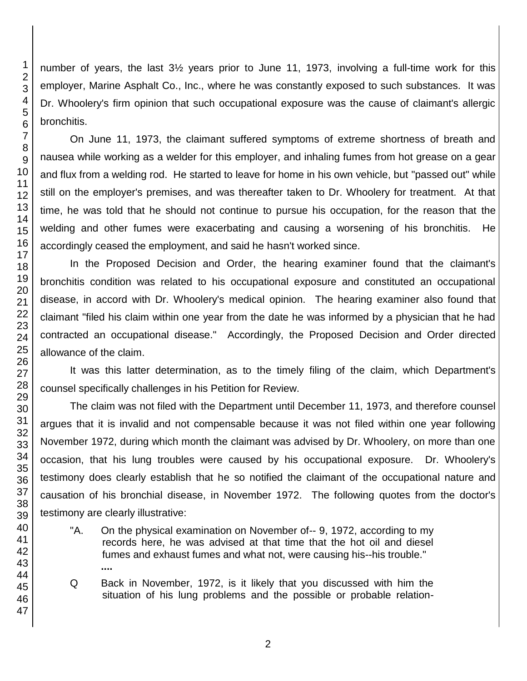number of years, the last 3½ years prior to June 11, 1973, involving a full-time work for this employer, Marine Asphalt Co., Inc., where he was constantly exposed to such substances. It was Dr. Whoolery's firm opinion that such occupational exposure was the cause of claimant's allergic bronchitis.

On June 11, 1973, the claimant suffered symptoms of extreme shortness of breath and nausea while working as a welder for this employer, and inhaling fumes from hot grease on a gear and flux from a welding rod. He started to leave for home in his own vehicle, but "passed out" while still on the employer's premises, and was thereafter taken to Dr. Whoolery for treatment. At that time, he was told that he should not continue to pursue his occupation, for the reason that the welding and other fumes were exacerbating and causing a worsening of his bronchitis. He accordingly ceased the employment, and said he hasn't worked since.

In the Proposed Decision and Order, the hearing examiner found that the claimant's bronchitis condition was related to his occupational exposure and constituted an occupational disease, in accord with Dr. Whoolery's medical opinion. The hearing examiner also found that claimant "filed his claim within one year from the date he was informed by a physician that he had contracted an occupational disease." Accordingly, the Proposed Decision and Order directed allowance of the claim.

It was this latter determination, as to the timely filing of the claim, which Department's counsel specifically challenges in his Petition for Review.

The claim was not filed with the Department until December 11, 1973, and therefore counsel argues that it is invalid and not compensable because it was not filed within one year following November 1972, during which month the claimant was advised by Dr. Whoolery, on more than one occasion, that his lung troubles were caused by his occupational exposure. Dr. Whoolery's testimony does clearly establish that he so notified the claimant of the occupational nature and causation of his bronchial disease, in November 1972. The following quotes from the doctor's testimony are clearly illustrative:

- "A. On the physical examination on November of-- 9, 1972, according to my records here, he was advised at that time that the hot oil and diesel fumes and exhaust fumes and what not, were causing his--his trouble." **....**
- Q Back in November, 1972, is it likely that you discussed with him the situation of his lung problems and the possible or probable relation-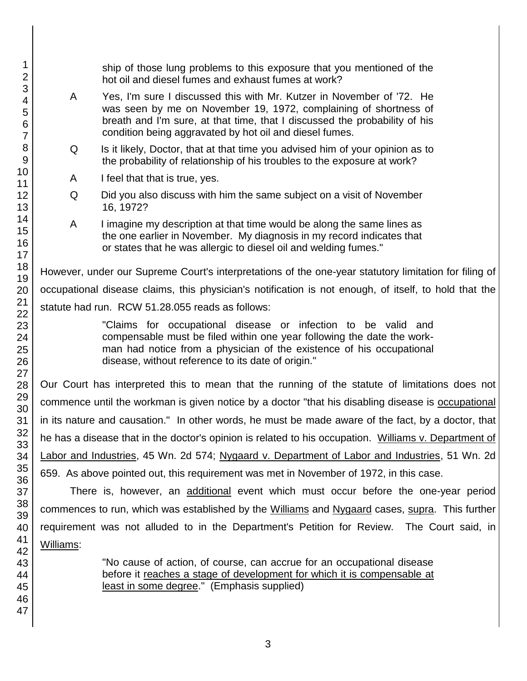ship of those lung problems to this exposure that you mentioned of the hot oil and diesel fumes and exhaust fumes at work? A Yes, I'm sure I discussed this with Mr. Kutzer in November of '72. He was seen by me on November 19, 1972, complaining of shortness of breath and I'm sure, at that time, that I discussed the probability of his condition being aggravated by hot oil and diesel fumes. Q Is it likely, Doctor, that at that time you advised him of your opinion as to the probability of relationship of his troubles to the exposure at work? A I feel that that is true, yes. Q Did you also discuss with him the same subject on a visit of November 16, 1972? A I imagine my description at that time would be along the same lines as the one earlier in November. My diagnosis in my record indicates that or states that he was allergic to diesel oil and welding fumes." However, under our Supreme Court's interpretations of the one-year statutory limitation for filing of occupational disease claims, this physician's notification is not enough, of itself, to hold that the statute had run. RCW 51.28.055 reads as follows: "Claims for occupational disease or infection to be valid and compensable must be filed within one year following the date the workman had notice from a physician of the existence of his occupational disease, without reference to its date of origin." Our Court has interpreted this to mean that the running of the statute of limitations does not commence until the workman is given notice by a doctor "that his disabling disease is occupational in its nature and causation." In other words, he must be made aware of the fact, by a doctor, that he has a disease that in the doctor's opinion is related to his occupation. Williams v. Department of Labor and Industries, 45 Wn. 2d 574; Nygaard v. Department of Labor and Industries, 51 Wn. 2d 659. As above pointed out, this requirement was met in November of 1972, in this case. There is, however, an additional event which must occur before the one-year period

commences to run, which was established by the Williams and Nygaard cases, supra. This further requirement was not alluded to in the Department's Petition for Review. The Court said, in Williams:

> "No cause of action, of course, can accrue for an occupational disease before it reaches a stage of development for which it is compensable at least in some degree." (Emphasis supplied)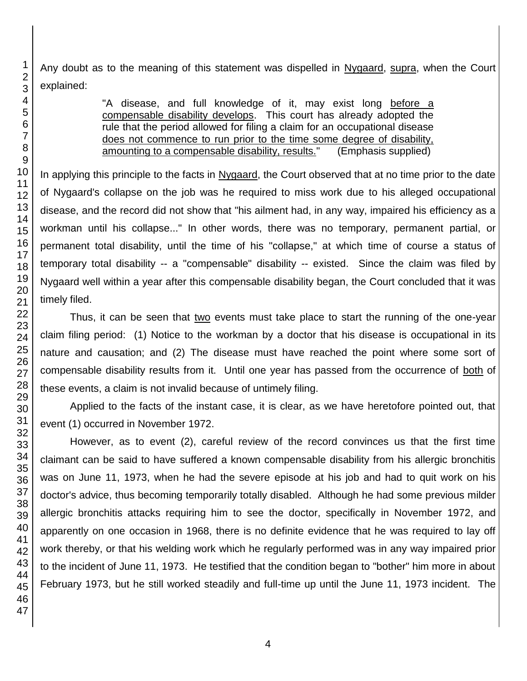Any doubt as to the meaning of this statement was dispelled in Nygaard, supra, when the Court explained:

> "A disease, and full knowledge of it, may exist long before a compensable disability develops. This court has already adopted the rule that the period allowed for filing a claim for an occupational disease does not commence to run prior to the time some degree of disability, amounting to a compensable disability, results." (Emphasis supplied)

In applying this principle to the facts in Nygaard, the Court observed that at no time prior to the date of Nygaard's collapse on the job was he required to miss work due to his alleged occupational disease, and the record did not show that "his ailment had, in any way, impaired his efficiency as a workman until his collapse..." In other words, there was no temporary, permanent partial, or permanent total disability, until the time of his "collapse," at which time of course a status of temporary total disability -- a "compensable" disability -- existed. Since the claim was filed by Nygaard well within a year after this compensable disability began, the Court concluded that it was timely filed.

Thus, it can be seen that two events must take place to start the running of the one-year claim filing period: (1) Notice to the workman by a doctor that his disease is occupational in its nature and causation; and (2) The disease must have reached the point where some sort of compensable disability results from it. Until one year has passed from the occurrence of both of these events, a claim is not invalid because of untimely filing.

Applied to the facts of the instant case, it is clear, as we have heretofore pointed out, that event (1) occurred in November 1972.

However, as to event (2), careful review of the record convinces us that the first time claimant can be said to have suffered a known compensable disability from his allergic bronchitis was on June 11, 1973, when he had the severe episode at his job and had to quit work on his doctor's advice, thus becoming temporarily totally disabled. Although he had some previous milder allergic bronchitis attacks requiring him to see the doctor, specifically in November 1972, and apparently on one occasion in 1968, there is no definite evidence that he was required to lay off work thereby, or that his welding work which he regularly performed was in any way impaired prior to the incident of June 11, 1973. He testified that the condition began to "bother" him more in about February 1973, but he still worked steadily and full-time up until the June 11, 1973 incident. The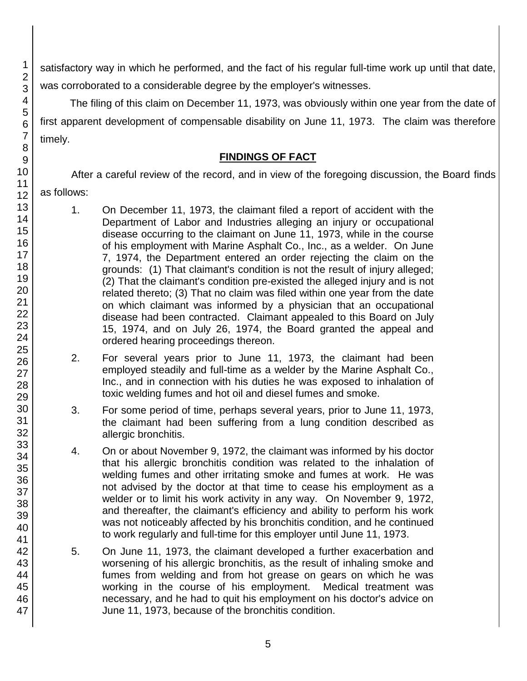satisfactory way in which he performed, and the fact of his regular full-time work up until that date, was corroborated to a considerable degree by the employer's witnesses.

The filing of this claim on December 11, 1973, was obviously within one year from the date of first apparent development of compensable disability on June 11, 1973. The claim was therefore timely.

# **FINDINGS OF FACT**

After a careful review of the record, and in view of the foregoing discussion, the Board finds as follows:

- 1. On December 11, 1973, the claimant filed a report of accident with the Department of Labor and Industries alleging an injury or occupational disease occurring to the claimant on June 11, 1973, while in the course of his employment with Marine Asphalt Co., Inc., as a welder. On June 7, 1974, the Department entered an order rejecting the claim on the grounds: (1) That claimant's condition is not the result of injury alleged; (2) That the claimant's condition pre-existed the alleged injury and is not related thereto; (3) That no claim was filed within one year from the date on which claimant was informed by a physician that an occupational disease had been contracted. Claimant appealed to this Board on July 15, 1974, and on July 26, 1974, the Board granted the appeal and ordered hearing proceedings thereon.
- 2. For several years prior to June 11, 1973, the claimant had been employed steadily and full-time as a welder by the Marine Asphalt Co., Inc., and in connection with his duties he was exposed to inhalation of toxic welding fumes and hot oil and diesel fumes and smoke.
- 3. For some period of time, perhaps several years, prior to June 11, 1973, the claimant had been suffering from a lung condition described as allergic bronchitis.
- 4. On or about November 9, 1972, the claimant was informed by his doctor that his allergic bronchitis condition was related to the inhalation of welding fumes and other irritating smoke and fumes at work. He was not advised by the doctor at that time to cease his employment as a welder or to limit his work activity in any way. On November 9, 1972, and thereafter, the claimant's efficiency and ability to perform his work was not noticeably affected by his bronchitis condition, and he continued to work regularly and full-time for this employer until June 11, 1973.
- 5. On June 11, 1973, the claimant developed a further exacerbation and worsening of his allergic bronchitis, as the result of inhaling smoke and fumes from welding and from hot grease on gears on which he was working in the course of his employment. Medical treatment was necessary, and he had to quit his employment on his doctor's advice on June 11, 1973, because of the bronchitis condition.